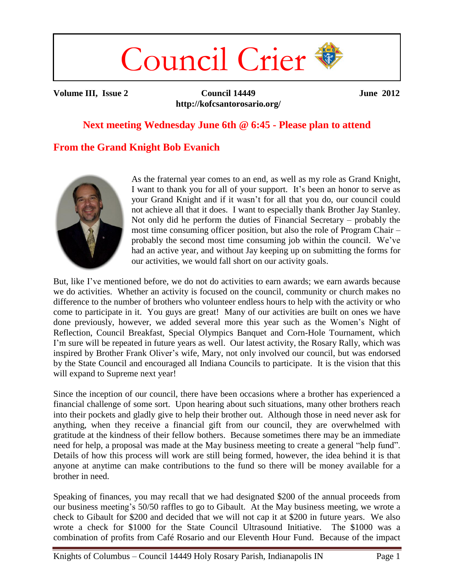# Council Crier

**Volume III, Issue 2 Council 14449 http://kofcsantorosario.org/** **June 2012**

## **Next meeting Wednesday June 6th @ 6:45 - Please plan to attend**

## **From the Grand Knight Bob Evanich**



As the fraternal year comes to an end, as well as my role as Grand Knight, I want to thank you for all of your support. It's been an honor to serve as your Grand Knight and if it wasn't for all that you do, our council could not achieve all that it does. I want to especially thank Brother Jay Stanley. Not only did he perform the duties of Financial Secretary – probably the most time consuming officer position, but also the role of Program Chair – probably the second most time consuming job within the council. We've had an active year, and without Jay keeping up on submitting the forms for our activities, we would fall short on our activity goals.

But, like I've mentioned before, we do not do activities to earn awards; we earn awards because we do activities. Whether an activity is focused on the council, community or church makes no difference to the number of brothers who volunteer endless hours to help with the activity or who come to participate in it. You guys are great! Many of our activities are built on ones we have done previously, however, we added several more this year such as the Women's Night of Reflection, Council Breakfast, Special Olympics Banquet and Corn-Hole Tournament, which I'm sure will be repeated in future years as well. Our latest activity, the Rosary Rally, which was inspired by Brother Frank Oliver's wife, Mary, not only involved our council, but was endorsed by the State Council and encouraged all Indiana Councils to participate. It is the vision that this will expand to Supreme next year!

Since the inception of our council, there have been occasions where a brother has experienced a financial challenge of some sort. Upon hearing about such situations, many other brothers reach into their pockets and gladly give to help their brother out. Although those in need never ask for anything, when they receive a financial gift from our council, they are overwhelmed with gratitude at the kindness of their fellow bothers. Because sometimes there may be an immediate need for help, a proposal was made at the May business meeting to create a general "help fund". Details of how this process will work are still being formed, however, the idea behind it is that anyone at anytime can make contributions to the fund so there will be money available for a brother in need.

Speaking of finances, you may recall that we had designated \$200 of the annual proceeds from our business meeting's 50/50 raffles to go to Gibault. At the May business meeting, we wrote a check to Gibault for \$200 and decided that we will not cap it at \$200 in future years. We also wrote a check for \$1000 for the State Council Ultrasound Initiative. The \$1000 was a combination of profits from Café Rosario and our Eleventh Hour Fund. Because of the impact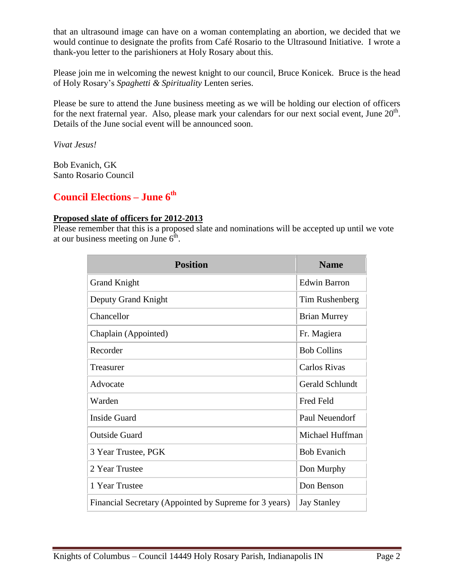that an ultrasound image can have on a woman contemplating an abortion, we decided that we would continue to designate the profits from Café Rosario to the Ultrasound Initiative. I wrote a thank-you letter to the parishioners at Holy Rosary about this.

Please join me in welcoming the newest knight to our council, Bruce Konicek. Bruce is the head of Holy Rosary's *Spaghetti & Spirituality* Lenten series.

Please be sure to attend the June business meeting as we will be holding our election of officers for the next fraternal year. Also, please mark your calendars for our next social event, June  $20<sup>th</sup>$ . Details of the June social event will be announced soon.

*Vivat Jesus!*

Bob Evanich, GK Santo Rosario Council

## **Council Elections – June 6 th**

#### **Proposed slate of officers for 2012-2013**

Please remember that this is a proposed slate and nominations will be accepted up until we vote at our business meeting on June  $6^{\text{th}}$ .

| <b>Position</b>                                        | <b>Name</b>         |
|--------------------------------------------------------|---------------------|
| <b>Grand Knight</b>                                    | <b>Edwin Barron</b> |
| Deputy Grand Knight                                    | Tim Rushenberg      |
| Chancellor                                             | <b>Brian Murrey</b> |
| Chaplain (Appointed)                                   | Fr. Magiera         |
| Recorder                                               | <b>Bob Collins</b>  |
| Treasurer                                              | Carlos Rivas        |
| Advocate                                               | Gerald Schlundt     |
| Warden                                                 | Fred Feld           |
| <b>Inside Guard</b>                                    | Paul Neuendorf      |
| <b>Outside Guard</b>                                   | Michael Huffman     |
| 3 Year Trustee, PGK                                    | <b>Bob Evanich</b>  |
| 2 Year Trustee                                         | Don Murphy          |
| 1 Year Trustee                                         | Don Benson          |
| Financial Secretary (Appointed by Supreme for 3 years) | <b>Jay Stanley</b>  |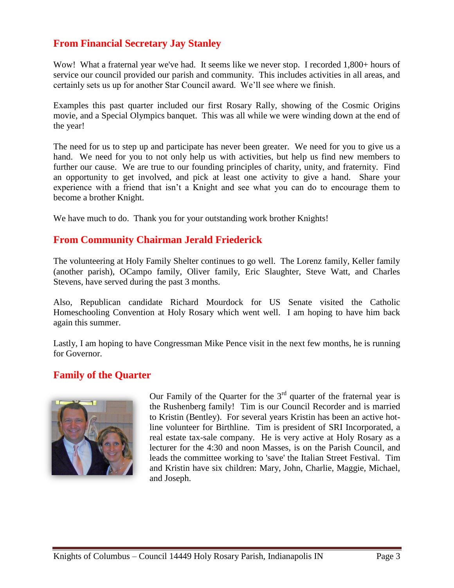## **From Financial Secretary Jay Stanley**

Wow! What a fraternal year we've had. It seems like we never stop. I recorded 1,800+ hours of service our council provided our parish and community. This includes activities in all areas, and certainly sets us up for another Star Council award. We'll see where we finish.

Examples this past quarter included our first Rosary Rally, showing of the Cosmic Origins movie, and a Special Olympics banquet. This was all while we were winding down at the end of the year!

The need for us to step up and participate has never been greater. We need for you to give us a hand. We need for you to not only help us with activities, but help us find new members to further our cause. We are true to our founding principles of charity, unity, and fraternity. Find an opportunity to get involved, and pick at least one activity to give a hand. Share your experience with a friend that isn't a Knight and see what you can do to encourage them to become a brother Knight.

We have much to do. Thank you for your outstanding work brother Knights!

## **From Community Chairman Jerald Friederick**

The volunteering at Holy Family Shelter continues to go well. The Lorenz family, Keller family (another parish), OCampo family, Oliver family, Eric Slaughter, Steve Watt, and Charles Stevens, have served during the past 3 months.

Also, Republican candidate Richard Mourdock for US Senate visited the Catholic Homeschooling Convention at Holy Rosary which went well. I am hoping to have him back again this summer.

Lastly, I am hoping to have Congressman Mike Pence visit in the next few months, he is running for Governor.

#### **Family of the Quarter**



Our Family of the Quarter for the  $3<sup>rd</sup>$  quarter of the fraternal year is the Rushenberg family! Tim is our Council Recorder and is married to Kristin (Bentley). For several years Kristin has been an active hotline volunteer for Birthline. Tim is president of SRI Incorporated, a real estate tax-sale company. He is very active at Holy Rosary as a lecturer for the 4:30 and noon Masses, is on the Parish Council, and leads the committee working to 'save' the Italian Street Festival. Tim and Kristin have six children: Mary, John, Charlie, Maggie, Michael, and Joseph.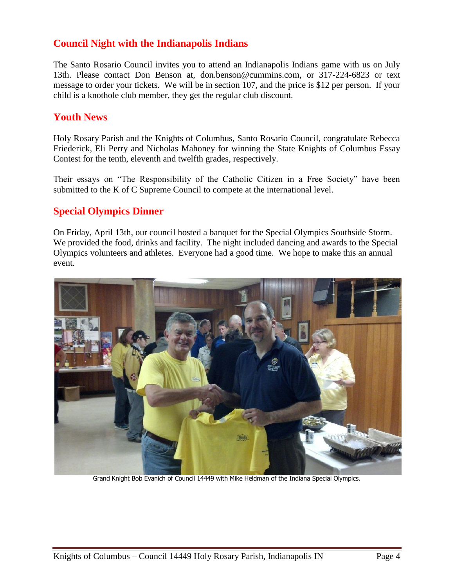## **Council Night with the Indianapolis Indians**

The Santo Rosario Council invites you to attend an Indianapolis Indians game with us on July 13th. Please contact Don Benson at, don.benson@cummins.com, or 317-224-6823 or text message to order your tickets. We will be in section 107, and the price is \$12 per person. If your child is a knothole club member, they get the regular club discount.

#### **Youth News**

Holy Rosary Parish and the Knights of Columbus, Santo Rosario Council, congratulate Rebecca Friederick, Eli Perry and Nicholas Mahoney for winning the State Knights of Columbus Essay Contest for the tenth, eleventh and twelfth grades, respectively.

Their essays on "The Responsibility of the Catholic Citizen in a Free Society" have been submitted to the K of C Supreme Council to compete at the international level.

## **Special Olympics Dinner**

On Friday, April 13th, our council hosted a banquet for the Special Olympics Southside Storm. We provided the food, drinks and facility. The night included dancing and awards to the Special Olympics volunteers and athletes. Everyone had a good time. We hope to make this an annual event.



Grand Knight Bob Evanich of Council 14449 with Mike Heldman of the Indiana Special Olympics.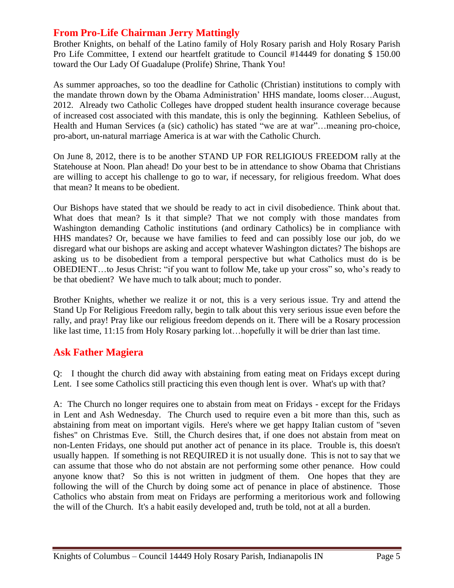## **From Pro-Life Chairman Jerry Mattingly**

Brother Knights, on behalf of the Latino family of Holy Rosary parish and Holy Rosary Parish Pro Life Committee, I extend our heartfelt gratitude to Council #14449 for donating \$ 150.00 toward the Our Lady Of Guadalupe (Prolife) Shrine, Thank You!

As summer approaches, so too the deadline for Catholic (Christian) institutions to comply with the mandate thrown down by the Obama Administration' HHS mandate, looms closer…August, 2012. Already two Catholic Colleges have dropped student health insurance coverage because of increased cost associated with this mandate, this is only the beginning. Kathleen Sebelius, of Health and Human Services (a (sic) catholic) has stated "we are at war"…meaning pro-choice, pro-abort, un-natural marriage America is at war with the Catholic Church.

On June 8, 2012, there is to be another STAND UP FOR RELIGIOUS FREEDOM rally at the Statehouse at Noon. Plan ahead! Do your best to be in attendance to show Obama that Christians are willing to accept his challenge to go to war, if necessary, for religious freedom. What does that mean? It means to be obedient.

Our Bishops have stated that we should be ready to act in civil disobedience. Think about that. What does that mean? Is it that simple? That we not comply with those mandates from Washington demanding Catholic institutions (and ordinary Catholics) be in compliance with HHS mandates? Or, because we have families to feed and can possibly lose our job, do we disregard what our bishops are asking and accept whatever Washington dictates? The bishops are asking us to be disobedient from a temporal perspective but what Catholics must do is be OBEDIENT…to Jesus Christ: "if you want to follow Me, take up your cross" so, who's ready to be that obedient? We have much to talk about; much to ponder.

Brother Knights, whether we realize it or not, this is a very serious issue. Try and attend the Stand Up For Religious Freedom rally, begin to talk about this very serious issue even before the rally, and pray! Pray like our religious freedom depends on it. There will be a Rosary procession like last time, 11:15 from Holy Rosary parking lot... hopefully it will be drier than last time.

## **Ask Father Magiera**

Q: I thought the church did away with abstaining from eating meat on Fridays except during Lent. I see some Catholics still practicing this even though lent is over. What's up with that?

A: The Church no longer requires one to abstain from meat on Fridays - except for the Fridays in Lent and Ash Wednesday. The Church used to require even a bit more than this, such as abstaining from meat on important vigils. Here's where we get happy Italian custom of "seven fishes" on Christmas Eve. Still, the Church desires that, if one does not abstain from meat on non-Lenten Fridays, one should put another act of penance in its place. Trouble is, this doesn't usually happen. If something is not REQUIRED it is not usually done. This is not to say that we can assume that those who do not abstain are not performing some other penance. How could anyone know that? So this is not written in judgment of them. One hopes that they are following the will of the Church by doing some act of penance in place of abstinence. Those Catholics who abstain from meat on Fridays are performing a meritorious work and following the will of the Church. It's a habit easily developed and, truth be told, not at all a burden.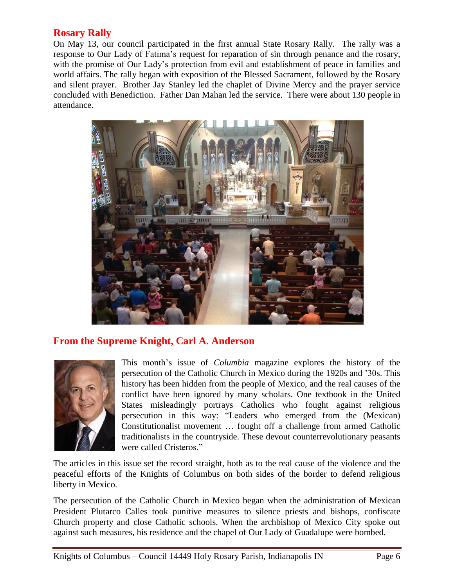#### **Rosary Rally**

On May 13, our council participated in the first annual State Rosary Rally. The rally was a response to Our Lady of Fatima's request for reparation of sin through penance and the rosary, with the promise of Our Lady's protection from evil and establishment of peace in families and world affairs. The rally began with exposition of the Blessed Sacrament, followed by the Rosary and silent prayer. Brother Jay Stanley led the chaplet of Divine Mercy and the prayer service concluded with Benediction. Father Dan Mahan led the service. There were about 130 people in attendance.



## **From the Supreme Knight, Carl A. Anderson**



This month's issue of *Columbia* magazine explores the history of the persecution of the Catholic Church in Mexico during the 1920s and '30s. This history has been hidden from the people of Mexico, and the real causes of the conflict have been ignored by many scholars. One textbook in the United States misleadingly portrays Catholics who fought against religious persecution in this way: "Leaders who emerged from the (Mexican) Constitutionalist movement … fought off a challenge from armed Catholic traditionalists in the countryside. These devout counterrevolutionary peasants were called Cristeros."

The articles in this issue set the record straight, both as to the real cause of the violence and the peaceful efforts of the Knights of Columbus on both sides of the border to defend religious liberty in Mexico.

The persecution of the Catholic Church in Mexico began when the administration of Mexican President Plutarco Calles took punitive measures to silence priests and bishops, confiscate Church property and close Catholic schools. When the archbishop of Mexico City spoke out against such measures, his residence and the chapel of Our Lady of Guadalupe were bombed.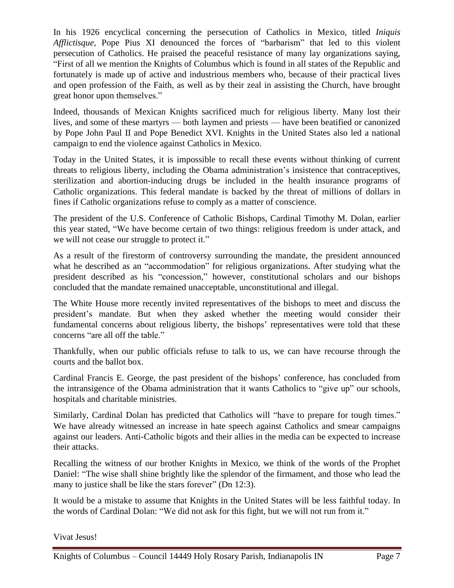In his 1926 encyclical concerning the persecution of Catholics in Mexico, titled *Iniquis Afflictisque,* Pope Pius XI denounced the forces of "barbarism" that led to this violent persecution of Catholics. He praised the peaceful resistance of many lay organizations saying, "First of all we mention the Knights of Columbus which is found in all states of the Republic and fortunately is made up of active and industrious members who, because of their practical lives and open profession of the Faith, as well as by their zeal in assisting the Church, have brought great honor upon themselves."

Indeed, thousands of Mexican Knights sacrificed much for religious liberty. Many lost their lives, and some of these martyrs — both laymen and priests — have been beatified or canonized by Pope John Paul II and Pope Benedict XVI. Knights in the United States also led a national campaign to end the violence against Catholics in Mexico.

Today in the United States, it is impossible to recall these events without thinking of current threats to religious liberty, including the Obama administration's insistence that contraceptives, sterilization and abortion-inducing drugs be included in the health insurance programs of Catholic organizations. This federal mandate is backed by the threat of millions of dollars in fines if Catholic organizations refuse to comply as a matter of conscience.

The president of the U.S. Conference of Catholic Bishops, Cardinal Timothy M. Dolan, earlier this year stated, "We have become certain of two things: religious freedom is under attack, and we will not cease our struggle to protect it."

As a result of the firestorm of controversy surrounding the mandate, the president announced what he described as an "accommodation" for religious organizations. After studying what the president described as his "concession," however, constitutional scholars and our bishops concluded that the mandate remained unacceptable, unconstitutional and illegal.

The White House more recently invited representatives of the bishops to meet and discuss the president's mandate. But when they asked whether the meeting would consider their fundamental concerns about religious liberty, the bishops' representatives were told that these concerns "are all off the table."

Thankfully, when our public officials refuse to talk to us, we can have recourse through the courts and the ballot box.

Cardinal Francis E. George, the past president of the bishops' conference, has concluded from the intransigence of the Obama administration that it wants Catholics to "give up" our schools, hospitals and charitable ministries.

Similarly, Cardinal Dolan has predicted that Catholics will "have to prepare for tough times." We have already witnessed an increase in hate speech against Catholics and smear campaigns against our leaders. Anti-Catholic bigots and their allies in the media can be expected to increase their attacks.

Recalling the witness of our brother Knights in Mexico, we think of the words of the Prophet Daniel: "The wise shall shine brightly like the splendor of the firmament, and those who lead the many to justice shall be like the stars forever" (Dn 12:3).

It would be a mistake to assume that Knights in the United States will be less faithful today. In the words of Cardinal Dolan: "We did not ask for this fight, but we will not run from it."

Vivat Jesus!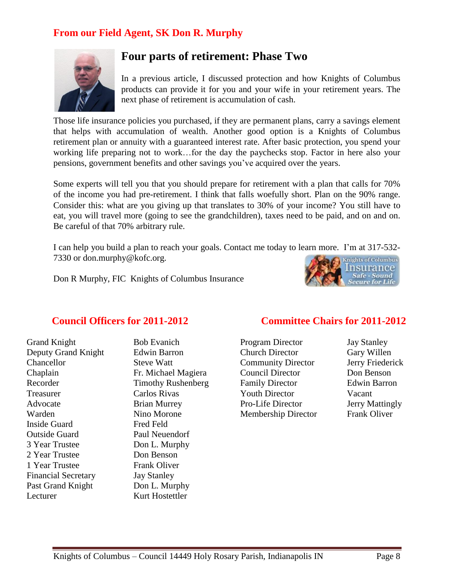## **From our Field Agent, SK Don R. Murphy**



## **Four parts of retirement: Phase Two**

In a previous article, I discussed protection and how Knights of Columbus products can provide it for you and your wife in your retirement years. The next phase of retirement is accumulation of cash.

Those life insurance policies you purchased, if they are permanent plans, carry a savings element that helps with accumulation of wealth. Another good option is a Knights of Columbus retirement plan or annuity with a guaranteed interest rate. After basic protection, you spend your working life preparing not to work…for the day the paychecks stop. Factor in here also your pensions, government benefits and other savings you've acquired over the years.

Some experts will tell you that you should prepare for retirement with a plan that calls for 70% of the income you had pre-retirement. I think that falls woefully short. Plan on the 90% range. Consider this: what are you giving up that translates to 30% of your income? You still have to eat, you will travel more (going to see the grandchildren), taxes need to be paid, and on and on. Be careful of that 70% arbitrary rule.

I can help you build a plan to reach your goals. Contact me today to learn more. I'm at 317-532- 7330 or don.murphy@kofc.org. **Knights of Columbus** 

Don R Murphy, FIC Knights of Columbus Insurance



## **Council Officers for 2011-2012**

Grand Knight Bob Evanich Deputy Grand Knight Edwin Barron Chancellor Steve Watt Chaplain Fr. Michael Magiera Recorder Timothy Rushenberg Treasurer Carlos Rivas Advocate Brian Murrey Warden Nino Morone Inside Guard Fred Feld Outside Guard Paul Neuendorf 3 Year Trustee Don L. Murphy 2 Year Trustee Don Benson 1 Year Trustee Frank Oliver Financial Secretary Jay Stanley Past Grand Knight Don L. Murphy Lecturer Kurt Hostettler

#### **Committee Chairs for 2011-2012**

Program Director Jay Stanley Church Director Gary Willen Community Director Jerry Friederick Council Director Don Benson Family Director **Edwin Barron** Youth Director Vacant Pro-Life Director Jerry Mattingly Membership Director Frank Oliver